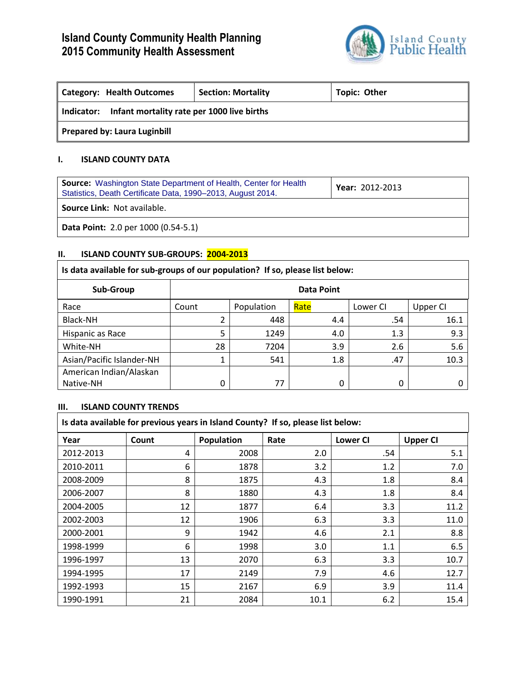

| <b>Category: Health Outcomes</b>                         | <b>Section: Mortality</b> | <b>Topic: Other</b> |  |  |
|----------------------------------------------------------|---------------------------|---------------------|--|--|
| Infant mortality rate per 1000 live births<br>Indicator: |                           |                     |  |  |
| <b>Prepared by: Laura Luginbill</b>                      |                           |                     |  |  |

## **I. ISLAND COUNTY DATA**

| <b>Source:</b> Washington State Department of Health, Center for Health<br>Statistics, Death Certificate Data, 1990-2013, August 2014. | Year: 2012-2013 |  |
|----------------------------------------------------------------------------------------------------------------------------------------|-----------------|--|
| <b>Source Link: Not available.</b>                                                                                                     |                 |  |
| Data Point: 2.0 per 1000 (0.54-5.1)                                                                                                    |                 |  |

# **II. ISLAND COUNTY SUB-GROUPS: 2004-2013**

# **Is data available for sub-groups of our population? If so, please list below:**

| Sub-Group                 | Data Point |            |      |          |          |
|---------------------------|------------|------------|------|----------|----------|
| Race                      | Count      | Population | Rate | Lower CI | Upper CI |
| Black-NH                  |            | 448        | 4.4  | .54      | 16.1     |
| Hispanic as Race          | 5          | 1249       | 4.0  | 1.3      | 9.3      |
| White-NH                  | 28         | 7204       | 3.9  | 2.6      | 5.6      |
| Asian/Pacific Islander-NH | 1          | 541        | 1.8  | .47      | 10.3     |
| American Indian/Alaskan   |            |            |      |          |          |
| Native-NH                 | 0          | 77         |      | 0        |          |

## **III. ISLAND COUNTY TRENDS**

| Is data available for previous years in Island County? If so, please list below: |       |            |      |                 |                 |  |
|----------------------------------------------------------------------------------|-------|------------|------|-----------------|-----------------|--|
| Year                                                                             | Count | Population | Rate | <b>Lower CI</b> | <b>Upper CI</b> |  |
| 2012-2013                                                                        | 4     | 2008       | 2.0  | .54             | 5.1             |  |
| 2010-2011                                                                        | 6     | 1878       | 3.2  | 1.2             | 7.0             |  |
| 2008-2009                                                                        | 8     | 1875       | 4.3  | 1.8             | 8.4             |  |
| 2006-2007                                                                        | 8     | 1880       | 4.3  | 1.8             | 8.4             |  |
| 2004-2005                                                                        | 12    | 1877       | 6.4  | 3.3             | 11.2            |  |
| 2002-2003                                                                        | 12    | 1906       | 6.3  | 3.3             | 11.0            |  |
| 2000-2001                                                                        | 9     | 1942       | 4.6  | 2.1             | 8.8             |  |
| 1998-1999                                                                        | 6     | 1998       | 3.0  | 1.1             | 6.5             |  |
| 1996-1997                                                                        | 13    | 2070       | 6.3  | 3.3             | 10.7            |  |
| 1994-1995                                                                        | 17    | 2149       | 7.9  | 4.6             | 12.7            |  |
| 1992-1993                                                                        | 15    | 2167       | 6.9  | 3.9             | 11.4            |  |
| 1990-1991                                                                        | 21    | 2084       | 10.1 | 6.2             | 15.4            |  |